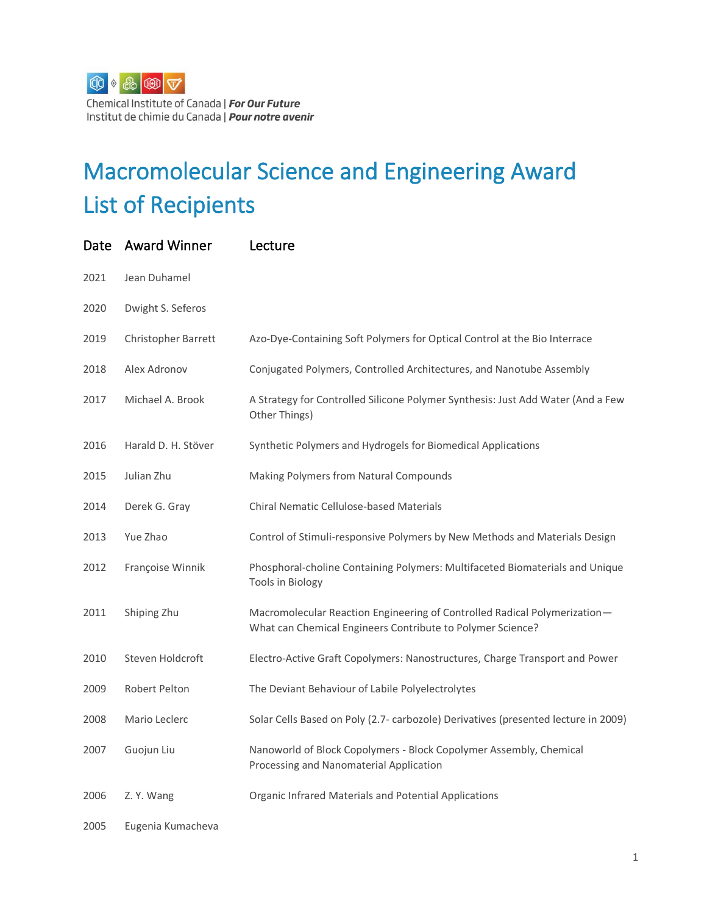

Chemical Institute of Canada | For Our Future Institut de chimie du Canada | Pour notre avenir

## Macromolecular Science and Engineering Award List of Recipients

| Date | <b>Award Winner</b> | Lecture                                                                                                                                 |
|------|---------------------|-----------------------------------------------------------------------------------------------------------------------------------------|
| 2021 | Jean Duhamel        |                                                                                                                                         |
| 2020 | Dwight S. Seferos   |                                                                                                                                         |
| 2019 | Christopher Barrett | Azo-Dye-Containing Soft Polymers for Optical Control at the Bio Interrace                                                               |
| 2018 | Alex Adronov        | Conjugated Polymers, Controlled Architectures, and Nanotube Assembly                                                                    |
| 2017 | Michael A. Brook    | A Strategy for Controlled Silicone Polymer Synthesis: Just Add Water (And a Few<br>Other Things)                                        |
| 2016 | Harald D. H. Stöver | Synthetic Polymers and Hydrogels for Biomedical Applications                                                                            |
| 2015 | Julian Zhu          | Making Polymers from Natural Compounds                                                                                                  |
| 2014 | Derek G. Gray       | <b>Chiral Nematic Cellulose-based Materials</b>                                                                                         |
| 2013 | Yue Zhao            | Control of Stimuli-responsive Polymers by New Methods and Materials Design                                                              |
| 2012 | Françoise Winnik    | Phosphoral-choline Containing Polymers: Multifaceted Biomaterials and Unique<br>Tools in Biology                                        |
| 2011 | Shiping Zhu         | Macromolecular Reaction Engineering of Controlled Radical Polymerization-<br>What can Chemical Engineers Contribute to Polymer Science? |
| 2010 | Steven Holdcroft    | Electro-Active Graft Copolymers: Nanostructures, Charge Transport and Power                                                             |
| 2009 | Robert Pelton       | The Deviant Behaviour of Labile Polyelectrolytes                                                                                        |
| 2008 | Mario Leclerc       | Solar Cells Based on Poly (2.7- carbozole) Derivatives (presented lecture in 2009)                                                      |
| 2007 | Guojun Liu          | Nanoworld of Block Copolymers - Block Copolymer Assembly, Chemical<br>Processing and Nanomaterial Application                           |
| 2006 | Z. Y. Wang          | Organic Infrared Materials and Potential Applications                                                                                   |
| 2005 | Eugenia Kumacheva   |                                                                                                                                         |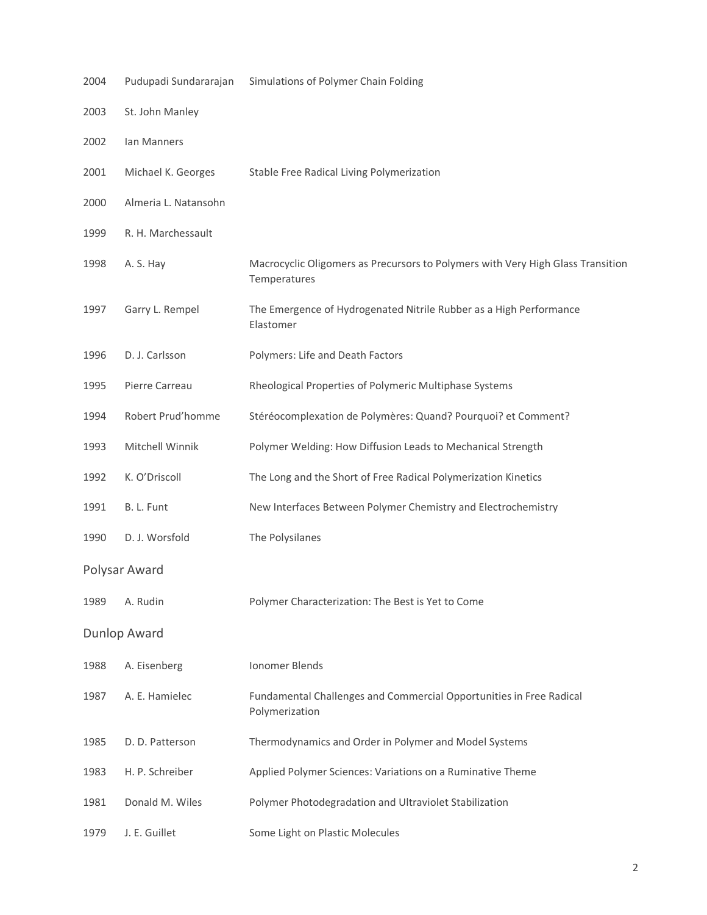| 2004                | Pudupadi Sundararajan | Simulations of Polymer Chain Folding                                                            |  |  |  |
|---------------------|-----------------------|-------------------------------------------------------------------------------------------------|--|--|--|
| 2003                | St. John Manley       |                                                                                                 |  |  |  |
| 2002                | Ian Manners           |                                                                                                 |  |  |  |
| 2001                | Michael K. Georges    | Stable Free Radical Living Polymerization                                                       |  |  |  |
| 2000                | Almeria L. Natansohn  |                                                                                                 |  |  |  |
| 1999                | R. H. Marchessault    |                                                                                                 |  |  |  |
| 1998                | A. S. Hay             | Macrocyclic Oligomers as Precursors to Polymers with Very High Glass Transition<br>Temperatures |  |  |  |
| 1997                | Garry L. Rempel       | The Emergence of Hydrogenated Nitrile Rubber as a High Performance<br>Elastomer                 |  |  |  |
| 1996                | D. J. Carlsson        | Polymers: Life and Death Factors                                                                |  |  |  |
| 1995                | Pierre Carreau        | Rheological Properties of Polymeric Multiphase Systems                                          |  |  |  |
| 1994                | Robert Prud'homme     | Stéréocomplexation de Polymères: Quand? Pourquoi? et Comment?                                   |  |  |  |
| 1993                | Mitchell Winnik       | Polymer Welding: How Diffusion Leads to Mechanical Strength                                     |  |  |  |
| 1992                | K. O'Driscoll         | The Long and the Short of Free Radical Polymerization Kinetics                                  |  |  |  |
| 1991                | B. L. Funt            | New Interfaces Between Polymer Chemistry and Electrochemistry                                   |  |  |  |
| 1990                | D. J. Worsfold        | The Polysilanes                                                                                 |  |  |  |
| Polysar Award       |                       |                                                                                                 |  |  |  |
| 1989                | A. Rudin              | Polymer Characterization: The Best is Yet to Come                                               |  |  |  |
| <b>Dunlop Award</b> |                       |                                                                                                 |  |  |  |
| 1988                | A. Eisenberg          | Ionomer Blends                                                                                  |  |  |  |
| 1987                | A. E. Hamielec        | Fundamental Challenges and Commercial Opportunities in Free Radical<br>Polymerization           |  |  |  |
| 1985                | D. D. Patterson       | Thermodynamics and Order in Polymer and Model Systems                                           |  |  |  |
| 1983                | H. P. Schreiber       | Applied Polymer Sciences: Variations on a Ruminative Theme                                      |  |  |  |
| 1981                | Donald M. Wiles       | Polymer Photodegradation and Ultraviolet Stabilization                                          |  |  |  |
| 1979                | J. E. Guillet         | Some Light on Plastic Molecules                                                                 |  |  |  |